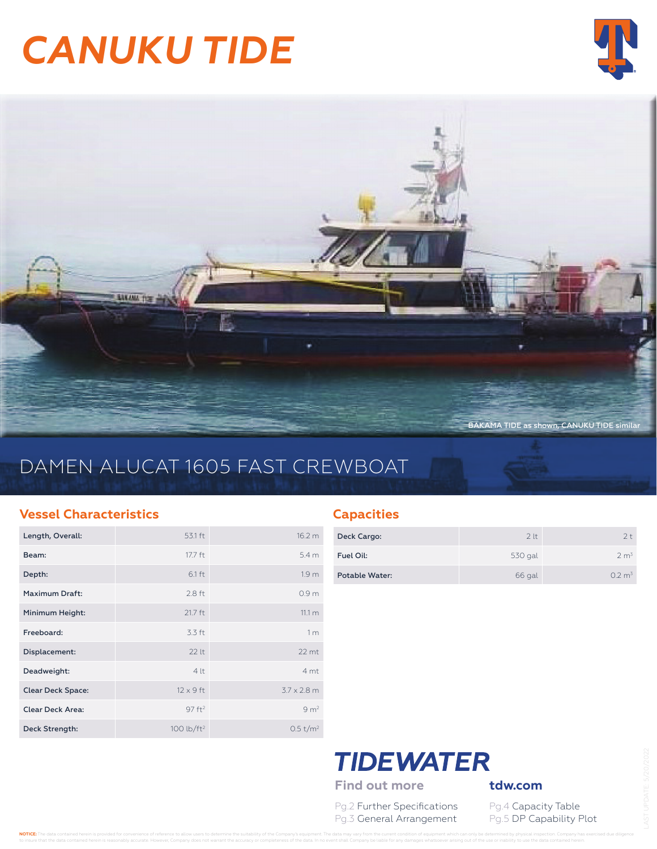# *CANUKU TIDE*





# DAMEN ALUCAT 1605 FAST CREWBOAT

### **Vessel Characteristics**

| Length, Overall:         | 53.1 ft                | 16.2 m               |
|--------------------------|------------------------|----------------------|
| Beam:                    | 17.7 ft                | 5.4 <sub>m</sub>     |
| Depth:                   | $6.1 \text{ ft}$       | 1.9 <sub>m</sub>     |
| Maximum Draft:           | $2.8$ ft               | 0.9 <sub>m</sub>     |
| Minimum Height:          | $21.7$ ft              | 11.1 <sub>m</sub>    |
| Freeboard:               | 3.3 ft                 | 1 <sub>m</sub>       |
| Displacement:            | 22 lt                  | $22$ mt              |
| Deadweight:              | 4 t                    | 4 <sub>mt</sub>      |
| <b>Clear Deck Space:</b> | $12 \times 9$ ft       | $37 \times 28$ m     |
| <b>Clear Deck Area:</b>  | 97 ft <sup>2</sup>     | 9 m <sup>2</sup>     |
| Deck Strength:           | 100 lb/ft <sup>2</sup> | 0.5 t/m <sup>2</sup> |

### **Capacities**

| Deck Cargo:    | 2 <sup>lt</sup> | $2 +$             |
|----------------|-----------------|-------------------|
| Fuel Oil:      | 530 gal         | 2 m <sup>3</sup>  |
| Potable Water: | 66 gal          | $0.2 \text{ m}^3$ |

## **TIDEWATER** Find out more **tdw.com**

Pg.2 Further Specifications Pg.4 Capacity Table Pg.3 General Arrangement Pg.5 DP Capability Plot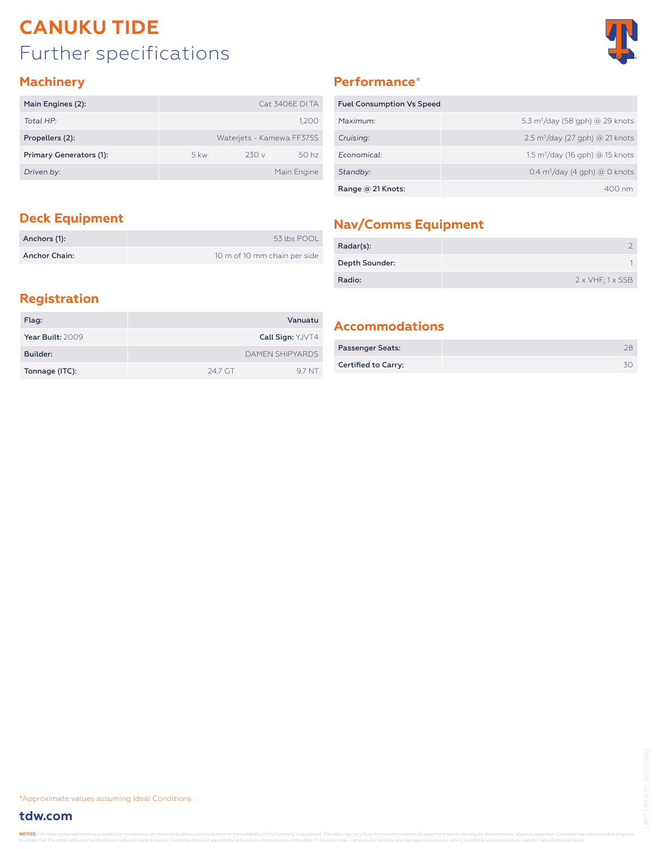# Further specifications **CANUKU TIDE**



### **Machinery**

| Main Engines (2):       |               |                           | <b>Cat 3406E DI TA</b> |
|-------------------------|---------------|---------------------------|------------------------|
| Total HP:               |               |                           | 1,200                  |
| Propellers (2):         |               | Waterjets - Kamewa FF375S |                        |
| Primary Generators (1): | $5 \text{kw}$ | 230v                      | 50 <sub>hz</sub>       |
| Driven by:              |               |                           | Main Engine            |

### **Performance**\*

| <b>Fuel Consumption Vs Speed</b> |                                             |
|----------------------------------|---------------------------------------------|
| Maximum:                         | 5.3 $m^3$ /day (58 gph) @ 29 knots          |
| Cruising:                        | $2.5 \text{ m}^3$ /day (27 gph) @ 21 knots  |
| Economical:                      | 1.5 m <sup>3</sup> /day (16 gph) @ 15 knots |
| Standby:                         | $0.4 \text{ m}^3$ /day (4 gph) @ 0 knots    |
| Range @ 21 Knots:                | $400 \text{ nm}$                            |

| Anchors (1):         | 53 lbs POOL                  |
|----------------------|------------------------------|
| <b>Anchor Chain:</b> | 10 m of 10 mm chain per side |

# **Deck Equipment Nav/Comms Equipment**

| Radar(s):      |                                 |
|----------------|---------------------------------|
| Depth Sounder: |                                 |
| Radio:         | $2 \times VHF$ ; $1 \times SSB$ |

### **Registration**

| Flag:            |         | Vanuatu                 |
|------------------|---------|-------------------------|
| Year Built: 2009 |         | <b>Call Sign: YJVT4</b> |
| Builder:         |         | <b>DAMEN SHIPYARDS</b>  |
| Tonnage (ITC):   | 24.7 GT | 97 NT                   |

### **Accommodations**

| <b>Passenger Seats:</b> |  |
|-------------------------|--|
| Certified to Carry:     |  |

\*Approximate values assuming Ideal Conditions

### **tdw.com**

NOTICE: The data contained herein is prov t the data contained herein is reasonably accurate. However, Company does not warrant the accuracy or completeness of the data. In no event shall Company be liable for any damages whatsoever arising out of the use or inabi